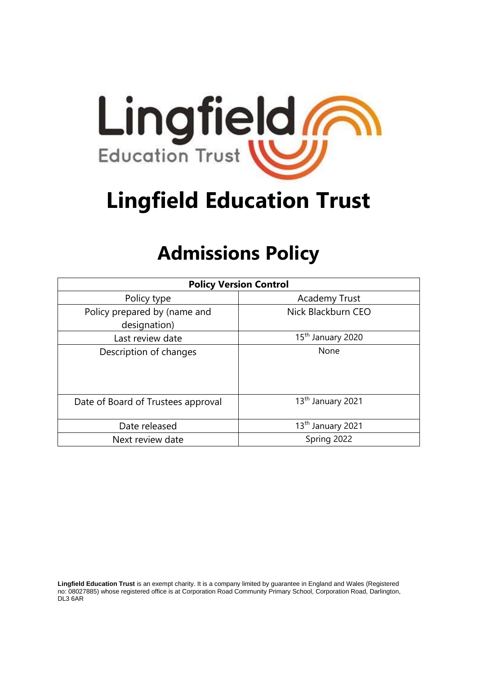

# **Lingfield Education Trust**

# **Admissions Policy**

| <b>Policy Version Control</b>                |                               |
|----------------------------------------------|-------------------------------|
| Policy type                                  | <b>Academy Trust</b>          |
| Policy prepared by (name and<br>designation) | Nick Blackburn CEO            |
| Last review date                             | 15 <sup>th</sup> January 2020 |
| Description of changes                       | None                          |
| Date of Board of Trustees approval           | 13 <sup>th</sup> January 2021 |
| Date released                                | 13 <sup>th</sup> January 2021 |
| Next review date                             | Spring 2022                   |

**Lingfield Education Trust** is an exempt charity. It is a company limited by guarantee in England and Wales (Registered no: 08027885) whose registered office is at Corporation Road Community Primary School, Corporation Road, Darlington, DL3 6AR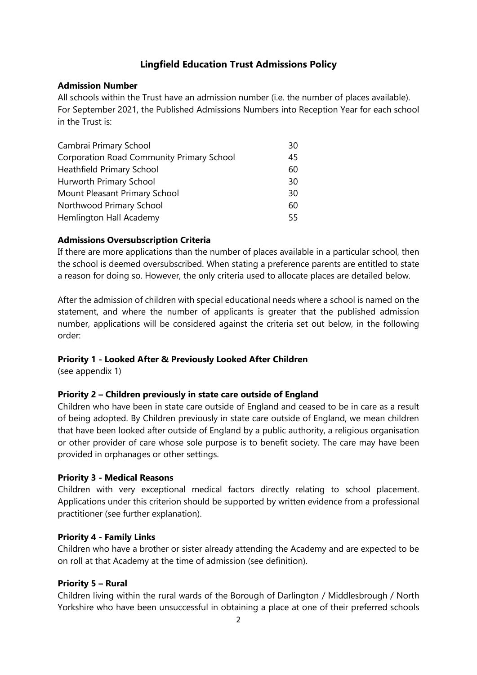# **Lingfield Education Trust Admissions Policy**

#### **Admission Number**

All schools within the Trust have an admission number (i.e. the number of places available). For September 2021, the Published Admissions Numbers into Reception Year for each school in the Trust is:

| Cambrai Primary School                           | 30 |
|--------------------------------------------------|----|
| <b>Corporation Road Community Primary School</b> | 45 |
| <b>Heathfield Primary School</b>                 | 60 |
| Hurworth Primary School                          | 30 |
| Mount Pleasant Primary School                    | 30 |
| Northwood Primary School                         | 60 |
| Hemlington Hall Academy                          | 55 |

# **Admissions Oversubscription Criteria**

If there are more applications than the number of places available in a particular school, then the school is deemed oversubscribed. When stating a preference parents are entitled to state a reason for doing so. However, the only criteria used to allocate places are detailed below.

After the admission of children with special educational needs where a school is named on the statement, and where the number of applicants is greater that the published admission number, applications will be considered against the criteria set out below, in the following order:

# **Priority 1 - Looked After & Previously Looked After Children**

(see appendix 1)

# **Priority 2 – Children previously in state care outside of England**

Children who have been in state care outside of England and ceased to be in care as a result of being adopted. By Children previously in state care outside of England, we mean children that have been looked after outside of England by a public authority, a religious organisation or other provider of care whose sole purpose is to benefit society. The care may have been provided in orphanages or other settings.

#### **Priority 3 - Medical Reasons**

Children with very exceptional medical factors directly relating to school placement. Applications under this criterion should be supported by written evidence from a professional practitioner (see further explanation).

# **Priority 4 - Family Links**

Children who have a brother or sister already attending the Academy and are expected to be on roll at that Academy at the time of admission (see definition).

#### **Priority 5 – Rural**

Children living within the rural wards of the Borough of Darlington / Middlesbrough / North Yorkshire who have been unsuccessful in obtaining a place at one of their preferred schools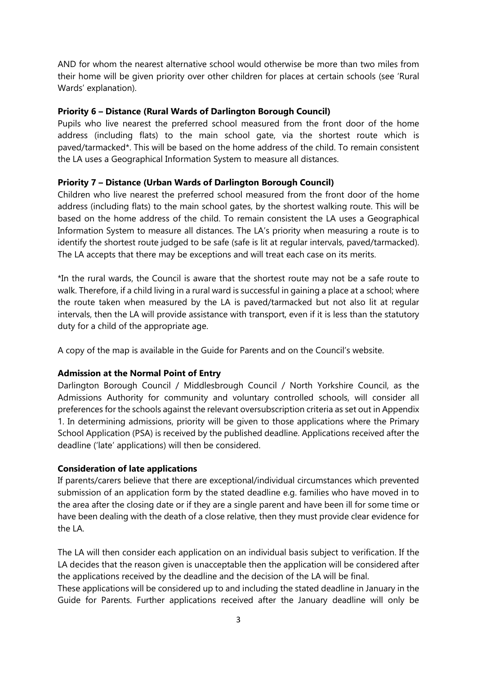AND for whom the nearest alternative school would otherwise be more than two miles from their home will be given priority over other children for places at certain schools (see 'Rural Wards' explanation).

#### **Priority 6 – Distance (Rural Wards of Darlington Borough Council)**

Pupils who live nearest the preferred school measured from the front door of the home address (including flats) to the main school gate, via the shortest route which is paved/tarmacked\*. This will be based on the home address of the child. To remain consistent the LA uses a Geographical Information System to measure all distances.

#### **Priority 7 – Distance (Urban Wards of Darlington Borough Council)**

Children who live nearest the preferred school measured from the front door of the home address (including flats) to the main school gates, by the shortest walking route. This will be based on the home address of the child. To remain consistent the LA uses a Geographical Information System to measure all distances. The LA's priority when measuring a route is to identify the shortest route judged to be safe (safe is lit at regular intervals, paved/tarmacked). The LA accepts that there may be exceptions and will treat each case on its merits.

\*In the rural wards, the Council is aware that the shortest route may not be a safe route to walk. Therefore, if a child living in a rural ward is successful in gaining a place at a school; where the route taken when measured by the LA is paved/tarmacked but not also lit at regular intervals, then the LA will provide assistance with transport, even if it is less than the statutory duty for a child of the appropriate age.

A copy of the map is available in the Guide for Parents and on the Council's website.

#### **Admission at the Normal Point of Entry**

Darlington Borough Council / Middlesbrough Council / North Yorkshire Council, as the Admissions Authority for community and voluntary controlled schools, will consider all preferences for the schools against the relevant oversubscription criteria as set out in Appendix 1. In determining admissions, priority will be given to those applications where the Primary School Application (PSA) is received by the published deadline. Applications received after the deadline ('late' applications) will then be considered.

#### **Consideration of late applications**

If parents/carers believe that there are exceptional/individual circumstances which prevented submission of an application form by the stated deadline e.g. families who have moved in to the area after the closing date or if they are a single parent and have been ill for some time or have been dealing with the death of a close relative, then they must provide clear evidence for the LA.

The LA will then consider each application on an individual basis subject to verification. If the LA decides that the reason given is unacceptable then the application will be considered after the applications received by the deadline and the decision of the LA will be final.

These applications will be considered up to and including the stated deadline in January in the Guide for Parents. Further applications received after the January deadline will only be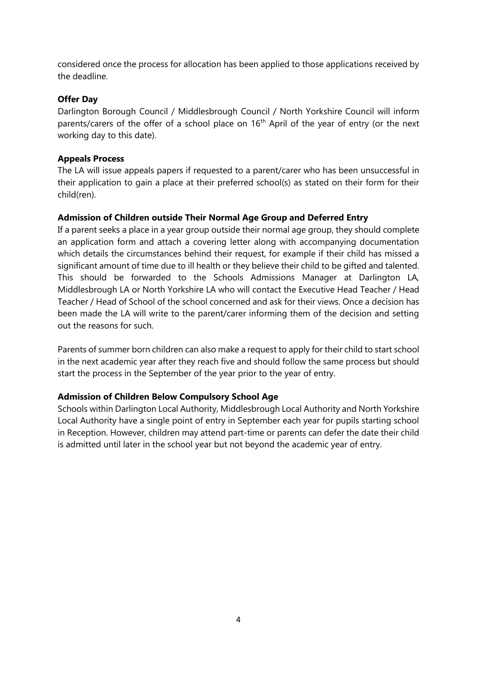considered once the process for allocation has been applied to those applications received by the deadline.

# **Offer Day**

Darlington Borough Council / Middlesbrough Council / North Yorkshire Council will inform parents/carers of the offer of a school place on  $16<sup>th</sup>$  April of the year of entry (or the next working day to this date).

# **Appeals Process**

The LA will issue appeals papers if requested to a parent/carer who has been unsuccessful in their application to gain a place at their preferred school(s) as stated on their form for their child(ren).

# **Admission of Children outside Their Normal Age Group and Deferred Entry**

If a parent seeks a place in a year group outside their normal age group, they should complete an application form and attach a covering letter along with accompanying documentation which details the circumstances behind their request, for example if their child has missed a significant amount of time due to ill health or they believe their child to be gifted and talented. This should be forwarded to the Schools Admissions Manager at Darlington LA, Middlesbrough LA or North Yorkshire LA who will contact the Executive Head Teacher / Head Teacher / Head of School of the school concerned and ask for their views. Once a decision has been made the LA will write to the parent/carer informing them of the decision and setting out the reasons for such.

Parents of summer born children can also make a request to apply for their child to start school in the next academic year after they reach five and should follow the same process but should start the process in the September of the year prior to the year of entry.

# **Admission of Children Below Compulsory School Age**

Schools within Darlington Local Authority, Middlesbrough Local Authority and North Yorkshire Local Authority have a single point of entry in September each year for pupils starting school in Reception. However, children may attend part-time or parents can defer the date their child is admitted until later in the school year but not beyond the academic year of entry.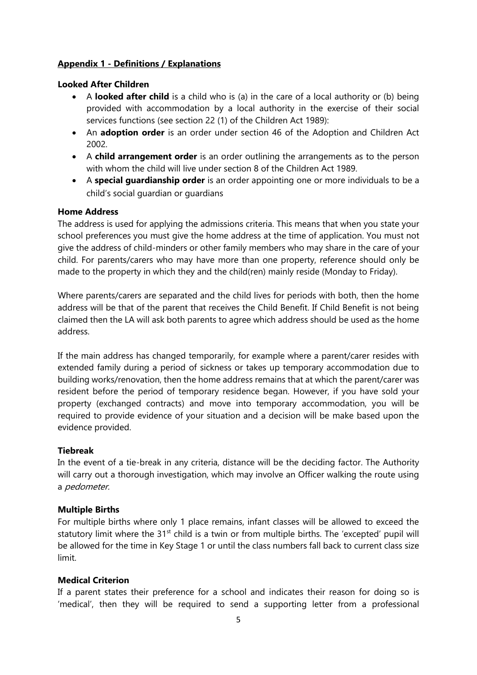# **Appendix 1 - Definitions / Explanations**

# **Looked After Children**

- A **looked after child** is a child who is (a) in the care of a local authority or (b) being provided with accommodation by a local authority in the exercise of their social services functions (see section 22 (1) of the Children Act 1989):
- An **adoption order** is an order under section 46 of the Adoption and Children Act 2002.
- A **child arrangement order** is an order outlining the arrangements as to the person with whom the child will live under section 8 of the Children Act 1989.
- A **special guardianship order** is an order appointing one or more individuals to be a child's social guardian or guardians

# **Home Address**

The address is used for applying the admissions criteria. This means that when you state your school preferences you must give the home address at the time of application. You must not give the address of child-minders or other family members who may share in the care of your child. For parents/carers who may have more than one property, reference should only be made to the property in which they and the child(ren) mainly reside (Monday to Friday).

Where parents/carers are separated and the child lives for periods with both, then the home address will be that of the parent that receives the Child Benefit. If Child Benefit is not being claimed then the LA will ask both parents to agree which address should be used as the home address.

If the main address has changed temporarily, for example where a parent/carer resides with extended family during a period of sickness or takes up temporary accommodation due to building works/renovation, then the home address remains that at which the parent/carer was resident before the period of temporary residence began. However, if you have sold your property (exchanged contracts) and move into temporary accommodation, you will be required to provide evidence of your situation and a decision will be make based upon the evidence provided.

# **Tiebreak**

In the event of a tie-break in any criteria, distance will be the deciding factor. The Authority will carry out a thorough investigation, which may involve an Officer walking the route using a pedometer.

# **Multiple Births**

For multiple births where only 1 place remains, infant classes will be allowed to exceed the statutory limit where the 31<sup>st</sup> child is a twin or from multiple births. The 'excepted' pupil will be allowed for the time in Key Stage 1 or until the class numbers fall back to current class size limit.

# **Medical Criterion**

If a parent states their preference for a school and indicates their reason for doing so is 'medical', then they will be required to send a supporting letter from a professional